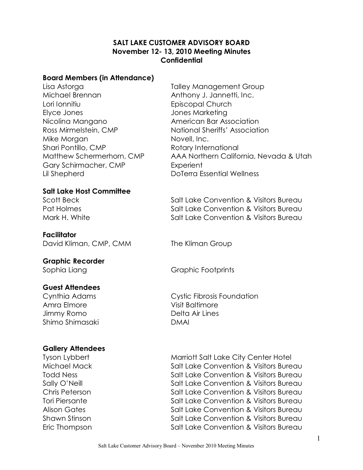#### **SALT LAKE CUSTOMER ADVISORY BOARD November 12 13, 2010 Meeting Minutes Confidential**

#### **Board Members (in Attendance)**

Lisa Astorga Talley Management Group Michael Brennan Anthony J. Jannetti, Inc. Lori Ionnitiu Episcopal Church Elyce Jones Jones Marketing Nicolina Mangano **American Bar Association** Mike Morgan Novell, Inc.<br>Shari Pontillo, CMP Rotary International Gary Schirmacher, CMP Experient Lil Shepherd DoTerra Essential Wellness

Ross Mirmelstein, CMP National Sheriffs' Association Matthew Schermerhorn, CMP AAA Northern California, Nevada & Utah

**Salt Lake Host Committee**

**Facilitator** David Kliman, CMP, CMM The Kliman Group

**Graphic Recorder**

#### **Guest Attendees**

Amra Elmore **Visit Baltimore** Jimmy Romo Delta Air Lines Shimo Shimasaki DMAI

## **Gallery Attendees**

Scott Beck Salt Lake Convention & Visitors Bureau Pat Holmes The Salt Lake Convention & Visitors Bureau Mark H. White **Salt Lake Convention & Visitors Bureau** 

Sophia Liang Graphic Footprints

Cynthia Adams Cystic Fibrosis Foundation

Tyson Lybbert **Marriott Salt Lake City Center Hotel** Michael Mack Salt Lake Convention & Visitors Bureau Todd Ness Salt Lake Convention & Visitors Bureau Sally O'Neill **Salt Lake Convention & Visitors Bureau** Chris Peterson Salt Lake Convention & Visitors Bureau Tori Piersante **Salt Lake Convention & Visitors Bureau** Alison Gates The Salt Lake Convention & Visitors Bureau Shawn Stinson Salt Lake Convention & Visitors Bureau Eric Thompson Salt Lake Convention & Visitors Bureau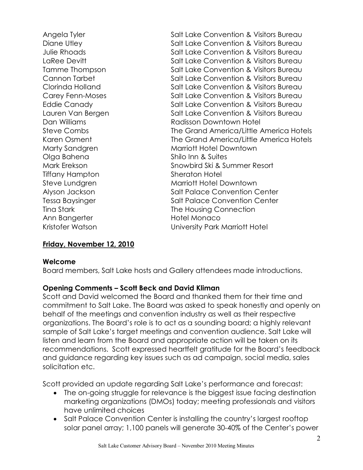Angela Tyler **Salt Lake Convention & Visitors Bureau** Diane Utley Convention & Visitors Bureau Julie Rhoads Salt Lake Convention & Visitors Bureau LaRee Devitt **Salt Lake Convention & Visitors Bureau** Tamme Thompson Tammaton Salt Lake Convention & Visitors Bureau Cannon Tarbet **Salt Lake Convention & Visitors Bureau** Clorinda Holland Salt Lake Convention & Visitors Bureau Carey Fenn-Moses Salt Lake Convention & Visitors Bureau Eddie Canady **Salt Lake Convention & Visitors Bureau** Lauren Van Bergen Salt Lake Convention & Visitors Bureau Dan Williams Radisson Downtown Hotel Steve Combs The Grand America/Little America Hotels Karen Osment The Grand America/Little America Hotels Marty Sandgren Marriott Hotel Downtown Olga Bahena Shilo Inn & Suites Mark Erekson Snowbird Ski & Summer Resort Tiffany Hampton Sheraton Hotel Steve Lundgren Marriott Hotel Downtown Alyson Jackson Salt Palace Convention Center Tessa Baysinger Tessa Baysinger Salt Palace Convention Center Tina Stark Tina Stark The Housing Connection Ann Bangerter **Hotel Monaco** Kristofer Watson University Park Marriott Hotel

#### **Friday, November 12, 2010**

#### **Welcome**

Board members, Salt Lake hosts and Gallery attendees made introductions.

#### **Opening Comments – Scott Beck and David Kliman**

Scott and David welcomed the Board and thanked them for their time and commitment to Salt Lake. The Board was asked to speak honestly and openly on behalf of the meetings and convention industry as well as their respective organizations. The Board's role is to act as a sounding board; a highly relevant sample of Salt Lake's target meetings and convention audience. Salt Lake will listen and learn from the Board and appropriate action will be taken on its recommendations. Scott expressed heartfelt gratitude for the Board's feedback and guidance regarding key issues such as ad campaign, social media, sales solicitation etc.

Scott provided an update regarding Salt Lake's performance and forecast:

- The on-going struggle for relevance is the biggest issue facing destination marketing organizations (DMOs) today; meeting professionals and visitors have unlimited choices
- · Salt Palace Convention Center is installing the country's largest rooftop solar panel array; 1,100 panels will generate 30-40% of the Center's power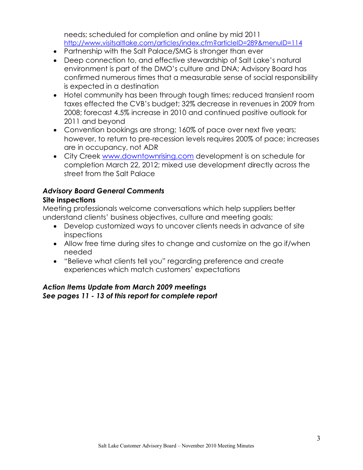needs; scheduled for completion and online by mid 2011 <http://www.visitsaltlake.com/articles/index.cfm?articleID=289&menuID=114>

- · Partnership with the Salt Palace/SMG is stronger than ever
- · Deep connection to, and effective stewardship of Salt Lake's natural environment is part of the DMO's culture and DNA; Advisory Board has confirmed numerous times that a measurable sense of social responsibility is expected in a destination
- · Hotel community has been through tough times; reduced transient room taxes effected the CVB's budget; 32% decrease in revenues in 2009 from 2008; forecast 4.5% increase in 2010 and continued positive outlook for 2011 and beyond
- · Convention bookings are strong; 160% of pace over next five years; however, to return to pre-recession levels requires 200% of pace; increases are in occupancy, not ADR
- · City Creek [www.downtownrising.com](http://www.downtownrising.com/) development is on schedule for completion March 22, 2012; mixed use development directly across the street from the Salt Palace

# *Advisory Board General Comments*

## **Site inspections**

Meeting professionals welcome conversations which help suppliers better understand clients' business objectives, culture and meeting goals;

- · Develop customized ways to uncover clients needs in advance of site inspections
- · Allow free time during sites to change and customize on the go if/when needed
- · "Believe what clients tell you" regarding preference and create experiences which match customers' expectations

#### *Action Items Update from March 2009 meetings See pages 11 13 of this report for complete report*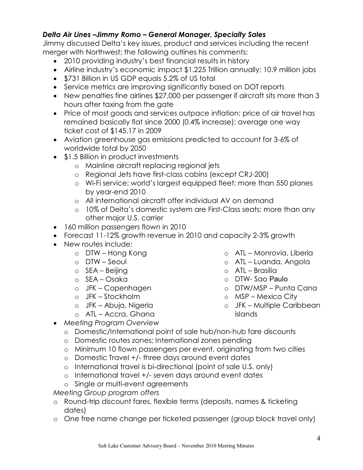# *Delta Air Lines –Jimmy Romo – General Manager, Specialty Sales*

Jimmy discussed Delta's key issues, product and services including the recent merger with Northwest; the following outlines his comments:

- · 2010 providing industry's best financial results in history
- · Airline industry's economic impact \$1.225 Trillion annually; 10.9 million jobs
- · \$731 Billion in US GDP equals 5.2% of US total
- · Service metrics are improving significantly based on DOT reports
- · New penalties fine airlines \$27,000 per passenger if aircraft sits more than 3 hours after taxing from the gate
- · Price of most goods and services outpace inflation; price of air travel has remained basically flat since 2000 (0.4% increase); average one way ticket cost of \$145.17 in 2009
- Aviation greenhouse gas emissions predicted to account for 3-6% of worldwide total by 2050
- \$1.5 Billion in product investments
	- o Mainline aircraft replacing regional jets
	- o Regional Jets have first-class cabins (except CRJ-200)
	- o WiFi service; world's largest equipped fleet; more than 550 planes by year-end 2010
	- o All international aircraft offer individual AV on demand
	- o 10% of Delta's domestic system are First-Class seats; more than any other major U.S. carrier
- · 160 million passengers flown in 2010
- Forecast 11-12% growth revenue in 2010 and capacity 2-3% growth
- New routes include:
	- o DTW Hong Kong
	- o DTW Seoul
	- o SEA Beijing
	- o SEA Osaka
	- o JFK Copenhagen
	- o JFK Stockholm
	- o JFK Abuja, Nigeria
	- o ATL Accra, Ghana
- o ATL Monrovia, Liberia
- o ATL Luanda, Angola
- o ATL Brasilia
- o DTW-Sao Paulo
- o DTW/MSP Punta Cana
- o MSP Mexico City
- o JFK Multiple Caribbean islands
- · *Meeting Program Overview*
	- o Domestic/International point of sale hub/non-hub fare discounts
	- o Domestic routes zones; International zones pending
	- o Minimum 10 flown passengers per event, originating from two cities
	- $\circ$  Domestic Travel  $+/-$  three days around event dates
	- o International travel is bi-directional (point of sale U.S. only)
	- o International travel +/- seven days around event dates
	- o Single or multi-event agreements
- *Meeting Group program offers*
- o Round-trip discount fares, flexible terms (deposits, names & ticketing dates)
- o One free name change per ticketed passenger (group block travel only)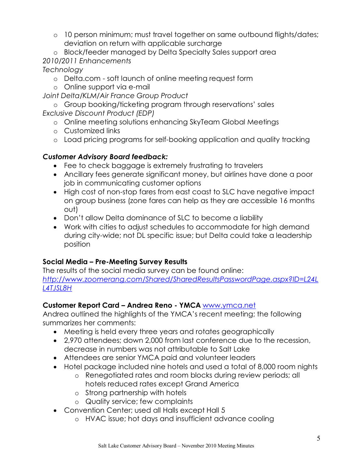- o 10 person minimum; must travel together on same outbound flights/dates; deviation on return with applicable surcharge
- o Block/feeder managed by Delta Specialty Sales support area *2010/2011 Enhancements*

*Technology* 

- o Delta.com soft launch of online meeting request form
- o Online support via e-mail

*Joint Delta/KLM/Air France Group Product* 

o Group booking/ticketing program through reservations' sales *Exclusive Discount Product (EDP)*

- o Online meeting solutions enhancing SkyTeam Global Meetings
- o Customized links
- o Load pricing programs for self-booking application and quality tracking

# *Customer Advisory Board feedback:*

- · Fee to check baggage is extremely frustrating to travelers
- · Ancillary fees generate significant money, but airlines have done a poor job in communicating customer options
- High cost of non-stop fares from east coast to SLC have negative impact on group business (zone fares can help as they are accessible 16 months out)
- · Don't allow Delta dominance of SLC to become a liability
- · Work with cities to adjust schedules to accommodate for high demand during city-wide; not DL specific issue; but Delta could take a leadership position

## **Social Media – Pre-Meeting Survey Results**

The results of the social media survey can be found online: *[http://www.zoomerang.com/Shared/SharedResultsPasswordPage.aspx?ID=L24L](http://www.zoomerang.com/Shared/SharedResultsPasswordPage.aspx?ID=L24LL4TJSL8H)  L4TJSL8H* 

# **Customer Report Card – Andrea Reno YMCA** [www.ymca.net](http://www.ymca.net/)

Andrea outlined the highlights of the YMCA's recent meeting; the following summarizes her comments:

- · Meeting is held every three years and rotates geographically
- · 2,970 attendees; down 2,000 from last conference due to the recession, decrease in numbers was not attributable to Salt Lake
- · Attendees are senior YMCA paid and volunteer leaders
- · Hotel package included nine hotels and used a total of 8,000 room nights
	- o Renegotiated rates and room blocks during review periods; all hotels reduced rates except Grand America
	- o Strong partnership with hotels
	- o Quality service; few complaints
- · Convention Center; used all Halls except Hall 5
	- o HVAC issue; hot days and insufficient advance cooling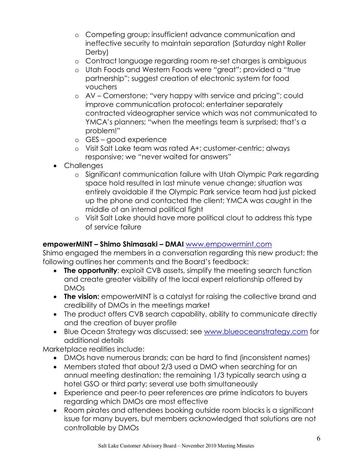- o Competing group; insufficient advance communication and ineffective security to maintain separation (Saturday night Roller Derby)
- o Contract language regarding room re-set charges is ambiguous
- o Utah Foods and Western Foods were "great"; provided a "true partnership"; suggest creation of electronic system for food vouchers
- o AV Cornerstone; "very happy with service and pricing"; could improve communication protocol; entertainer separately contracted videographer service which was not communicated to YMCA's planners; "when the meetings team is surprised; that's a problem!"
- o GES good experience
- o Visit Salt Lake team was rated A+; customer-centric; always responsive; we "never waited for answers"
- · Challenges
	- o Significant communication failure with Utah Olympic Park regarding space hold resulted in last minute venue change; situation was entirely avoidable if the Olympic Park service team had just picked up the phone and contacted the client; YMCA was caught in the middle of an internal political fight
	- o Visit Salt Lake should have more political clout to address this type of service failure

## **empowerMINT – Shimo Shimasaki – DMAI** [www.empowermint.com](http://www.empowermint.com/)

Shimo engaged the members in a conversation regarding this new product; the following outlines her comments and the Board's feedback:

- · **The opportunity**: exploit CVB assets, simplify the meeting search function and create greater visibility of the local expert relationship offered by DMOs
- · **The vision:** empowerMINT is a catalyst for raising the collective brand and credibility of DMOs in the meetings market
- · The product offers CVB search capability, ability to communicate directly and the creation of buyer profile
- · Blue Ocean Strategy was discussed; see [www.blueoceanstrategy.com](http://www.blueoceanstrategy.com/) for additional details

Marketplace realities include:

- · DMOs have numerous brands; can be hard to find (inconsistent names)
- · Members stated that about 2/3 used a DMO when searching for an annual meeting destination; the remaining 1/3 typically search using a hotel GSO or third party; several use both simultaneously
- Experience and peer-to peer references are prime indicators to buyers regarding which DMOs are most effective
- · Room pirates and attendees booking outside room blocks is a significant issue for many buyers, but members acknowledged that solutions are not controllable by DMOs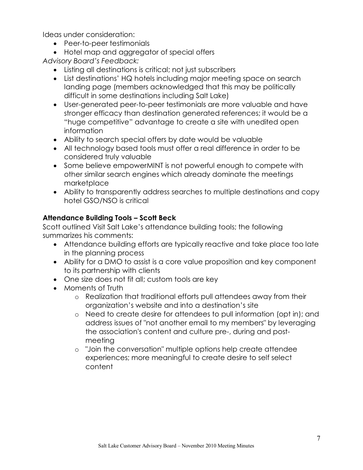Ideas under consideration:

- Peer-to-peer testimonials
- · Hotel map and aggregator of special offers

*Advisory Board's Feedback:*

- · Listing all destinations is critical; not just subscribers
- · List destinations' HQ hotels including major meeting space on search landing page (members acknowledged that this may be politically difficult in some destinations including Salt Lake)
- User-generated peer-to-peer testimonials are more valuable and have stronger efficacy than destination generated references; it would be a "huge competitive" advantage to create a site with unedited open information
- · Ability to search special offers by date would be valuable
- · All technology based tools must offer a real difference in order to be considered truly valuable
- · Some believe empowerMINT is not powerful enough to compete with other similar search engines which already dominate the meetings marketplace
- · Ability to transparently address searches to multiple destinations and copy hotel GSO/NSO is critical

# **Attendance Building Tools – Scott Beck**

Scott outlined Visit Salt Lake's attendance building tools; the following summarizes his comments:

- · Attendance building efforts are typically reactive and take place too late in the planning process
- · Ability for a DMO to assist is a core value proposition and key component to its partnership with clients
- · One size does not fit all; custom tools are key
- Moments of Truth
	- o Realization that traditional efforts pull attendees away from their organization's website and into a destination's site
	- o Need to create desire for attendees to pull information (opt in); and address issues of "not another email to my members" by leveraging the association's content and culture pre, during and postmeeting
	- o "Join the conversation" multiple options help create attendee experiences; more meaningful to create desire to self select content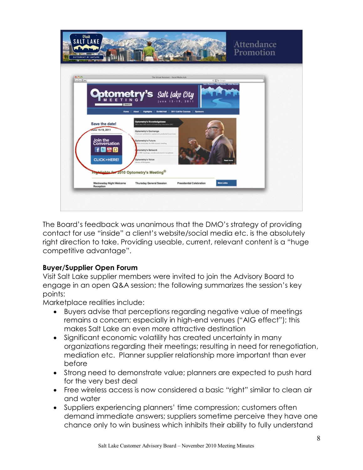

The Board's feedback was unanimous that the DMO's strategy of providing contact for use "inside" a client's website/social media etc. is the absolutely right direction to take. Providing useable, current, relevant content is a "huge competitive advantage".

## **Buyer/Supplier Open Forum**

Visit Salt Lake supplier members were invited to join the Advisory Board to engage in an open Q&A session; the following summarizes the session's key points:

Marketplace realities include:

- · Buyers advise that perceptions regarding negative value of meetings remains a concern; especially in high-end venues ("AIG effect"); this makes Salt Lake an even more attractive destination
- · Significant economic volatility has created uncertainty in many organizations regarding their meetings; resulting in need for renegotiation, mediation etc. Planner supplier relationship more important than ever before
- · Strong need to demonstrate value; planners are expected to push hard for the very best deal
- · Free wireless access is now considered a basic "right" similar to clean air and water
- · Suppliers experiencing planners' time compression; customers often demand immediate answers; suppliers sometime perceive they have one chance only to win business which inhibits their ability to fully understand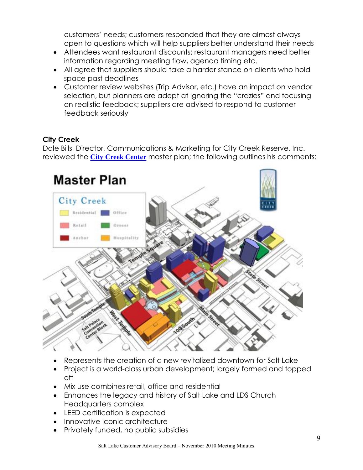customers' needs; customers responded that they are almost always open to questions which will help suppliers better understand their needs

- · Attendees want restaurant discounts; restaurant managers need better information regarding meeting flow, agenda timing etc.
- · All agree that suppliers should take a harder stance on clients who hold space past deadlines
- · Customer review websites (Trip Advisor, etc.) have an impact on vendor selection, but planners are adept at ignoring the "crazies" and focusing on realistic feedback; suppliers are advised to respond to customer feedback seriously

# **City Creek**

Dale Bills, Director, Communications & Marketing for City Creek Reserve, Inc. reviewed the **[City Creek](http://www.downtownrising.com/index.php/city-creek-introduction) Center** master plan; the following outlines his comments:



- Represents the creation of a new revitalized downtown for Salt Lake
- Project is a world-class urban development; largely formed and topped off
- · Mix use combines retail, office and residential
- · Enhances the legacy and history of Salt Lake and LDS Church Headquarters complex
- · LEED certification is expected
- Innovative iconic architecture
- · Privately funded, no public subsidies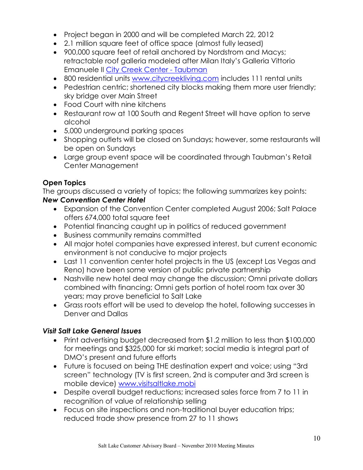- · Project began in 2000 and will be completed March 22, 2012
- · 2.1 million square feet of office space (almost fully leased)
- · 900,000 square feet of retail anchored by Nordstrom and Macys; retractable roof galleria modeled after Milan Italy's Galleria Vittorio Emanuele II City Creek Center - Taubman
- · 800 residential units [www.citycreekliving.com](http://www.citycreekliving.com/) includes 111 rental units
- · Pedestrian centric; shortened city blocks making them more user friendly; sky bridge over Main Street
- Food Court with nine kitchens
- · Restaurant row at 100 South and Regent Street will have option to serve alcohol
- · 5,000 underground parking spaces
- · Shopping outlets will be closed on Sundays; however, some restaurants will be open on Sundays
- · Large group event space will be coordinated through Taubman's Retail Center Management

# **Open Topics**

The groups discussed a variety of topics; the following summarizes key points:

#### *New Convention Center Hotel*

- · Expansion of the Convention Center completed August 2006; Salt Palace offers 674,000 total square feet
- · Potential financing caught up in politics of reduced government
- · Business community remains committed
- · All major hotel companies have expressed interest, but current economic environment is not conducive to major projects
- · Last 11 convention center hotel projects in the US (except Las Vegas and Reno) have been some version of public private partnership
- · Nashville new hotel deal may change the discussion; Omni private dollars combined with financing; Omni gets portion of hotel room tax over 30 years; may prove beneficial to Salt Lake
- · Grass roots effort will be used to develop the hotel, following successes in Denver and Dallas

## *Visit Salt Lake General Issues*

- · Print advertising budget decreased from \$1.2 million to less than \$100,000 for meetings and \$325,000 for ski market; social media is integral part of DMO's present and future efforts
- · Future is focused on being THE destination expert and voice; using "3rd screen" technology (TV is first screen, 2nd is computer and 3rd screen is mobile device) [www.visitsaltlake.mobi](http://www.visitsaltlake.mobi/)
- · Despite overall budget reductions; increased sales force from 7 to 11 in recognition of value of relationship selling
- Focus on site inspections and non-traditional buyer education trips; reduced trade show presence from 27 to 11 shows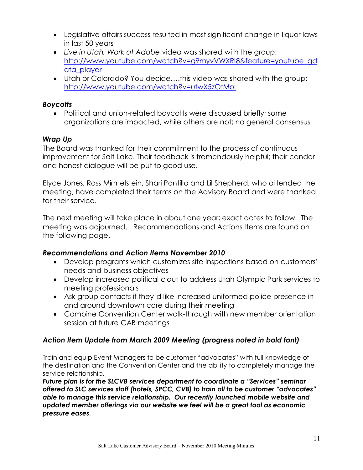- · Legislative affairs success resulted in most significant change in liquor laws in last 50 years
- · *Live in Utah, Work at Adobe* video was shared with the group: [http://www.youtube.com/watch?v=g9myvVWXRI8&feature=youtube\\_gd](http://www.youtube.com/watch?v=g9myvVWXRI8&feature=youtube_gdata_player) ata\_player
- · Utah or Colorado? You decide….this video was shared with the group: <http://www.youtube.com/watch?v=utwX5zOtMoI>

#### *Boycotts*

• Political and union-related boycotts were discussed briefly; some organizations are impacted, while others are not; no general consensus

## *Wrap Up*

The Board was thanked for their commitment to the process of continuous improvement for Salt Lake. Their feedback is tremendously helpful; their candor and honest dialogue will be put to good use.

Elyce Jones, Ross Mirmelstein, Shari Pontillo and Lil Shepherd, who attended the meeting, have completed their terms on the Advisory Board and were thanked for their service.

The next meeting will take place in about one year; exact dates to follow. The meeting was adjourned. Recommendations and Actions Items are found on the following page.

## *Recommendations and Action Items November 2010*

- · Develop programs which customizes site inspections based on customers' needs and business objectives
- · Develop increased political clout to address Utah Olympic Park services to meeting professionals
- · Ask group contacts if they'd like increased uniformed police presence in and around downtown core during their meeting
- Combine Convention Center walk-through with new member orientation session at future CAB meetings

## *Action Item Update from March 2009 Meeting (progress noted in bold font)*

Train and equip Event Managers to be customer "advocates" with full knowledge of the destination and the Convention Center and the ability to completely manage the service relationship.

*Future plan is for the SLCVB services department to coordinate a "Services" seminar offered to SLC services staff (hotels, SPCC, CVB) to train all to be customer "advocates" able to manage this service relationship. Our recently launched mobile website and updated member offerings via our website we feel will be a great tool as economic pressure eases.*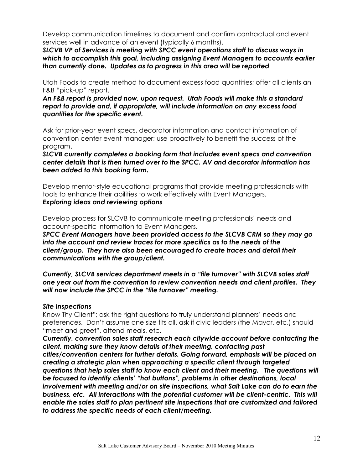Develop communication timelines to document and confirm contractual and event services well in advance of an event (typically 6 months).

*SLCVB VP of Services is meeting with SPCC event operations staff to discuss ways in which to accomplish this goal, including assigning Event Managers to accounts earlier than currently done. Updates as to progress in this area will be reported.*

Utah Foods to create method to document excess food quantities; offer all clients an F&B "pick-up" report.

*An F&B report is provided now, upon request. Utah Foods will make this a standard report to provide and, if appropriate, will include information on any excess food quantities for the specific event.*

Ask for prior-year event specs, decorator information and contact information of convention center event manager; use proactively to benefit the success of the program.

*SLCVB currently completes a booking form that includes event specs and convention center details that is then turned over to the SPCC. AV and decorator information has been added to this booking form.*

Develop mentorstyle educational programs that provide meeting professionals with tools to enhance their abilities to work effectively with Event Managers. *Exploring ideas and reviewing options*

Develop process for SLCVB to communicate meeting professionals' needs and account-specific information to Event Managers.

*SPCC Event Managers have been provided access to the SLCVB CRM so they may go into the account and review traces for more specifics as to the needs of the client/group. They have also been encouraged to create traces and detail their communications with the group/client.*

*Currently, SLCVB services department meets in a "file turnover" with SLCVB sales staff one year out from the convention to review convention needs and client profiles. They will now include the SPCC in the "file turnover" meeting.* 

#### *Site Inspections*

Know Thy Client"; ask the right questions to truly understand planners' needs and preferences. Don't assume one size fits all, ask if civic leaders (the Mayor, etc.) should "meet and greet", attend meals, etc.

*Currently, convention sales staff research each citywide account before contacting the client, making sure they know details of their meeting, contacting past cities/convention centers for further details. Going forward, emphasis will be placed on creating a strategic plan when approaching a specific client through targeted questions that help sales staff to know each client and their meeting. The questions will be focused to identify clients' "hot buttons", problems in other destinations, local involvement with meeting and/or on site inspections, what Salt Lake can do to earn the* business, etc. All interactions with the potential customer will be client-centric. This will *enable the sales staff to plan pertinent site inspections that are customized and tailored to address the specific needs of each client/meeting.*